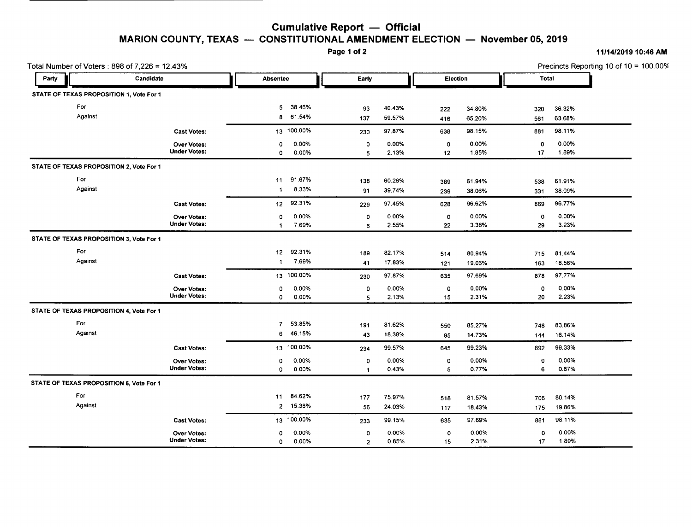## **Cumulative Report - Official MARION COUNTY, TEXAS** - **CONSTITUTIONAL AMENDMENT ELECTION** - **November 05, 2019**<br>Page 1 of 2

## **Page 1 of 2** *11/14/201910:46* **AM**

| Total Number of Voters: 898 of 7,226 = 12.43% |                                          |                     |                |            |                |        |         |          | Precincts Reporting 10 of $10 = 100.00\%$ |              |  |
|-----------------------------------------------|------------------------------------------|---------------------|----------------|------------|----------------|--------|---------|----------|-------------------------------------------|--------------|--|
| Party                                         | Candidate                                |                     | Absentee       |            | Early          |        |         | Election |                                           | <b>Total</b> |  |
|                                               | STATE OF TEXAS PROPOSITION 1, Vote For 1 |                     |                |            |                |        |         |          |                                           |              |  |
| For                                           |                                          |                     | 5              | 38.46%     | 93             | 40.43% | 222     | 34.80%   | 320                                       | 36.32%       |  |
| Against                                       |                                          |                     | 8              | 61.54%     | 137            | 59.57% | 416     | 65.20%   | 561                                       | 63.68%       |  |
|                                               |                                          | <b>Cast Votes:</b>  |                | 13 100.00% | 230            | 97.87% | 638     | 98.15%   | 881                                       | 98.11%       |  |
|                                               |                                          | Over Votes:         | 0              | 0.00%      | $\circ$        | 0.00%  | 0       | 0.00%    | 0                                         | 0.00%        |  |
|                                               |                                          | <b>Under Votes:</b> | 0              | 0.00%      | 5              | 2.13%  | 12      | 1.85%    | 17                                        | 1.89%        |  |
|                                               | STATE OF TEXAS PROPOSITION 2, Vote For 1 |                     |                |            |                |        |         |          |                                           |              |  |
| For                                           |                                          |                     | 11             | 91.67%     | 138            | 60.26% | 389     | 61.94%   | 538                                       | 61.91%       |  |
| Against                                       |                                          |                     | $\overline{1}$ | 8.33%      | 91             | 39.74% | 239     | 38.06%   | 331                                       | 38.09%       |  |
|                                               |                                          | <b>Cast Votes:</b>  | 12             | 92.31%     | 229            | 97.45% | 628     | 96.62%   | 869                                       | 96.77%       |  |
|                                               |                                          | <b>Over Votes:</b>  | 0              | 0.00%      | $\circ$        | 0.00%  | 0       | 0.00%    | 0                                         | 0.00%        |  |
|                                               |                                          | <b>Under Votes:</b> | $\mathbf{1}$   | 7.69%      | 6              | 2.55%  | 22      | 3.38%    | 29                                        | 3.23%        |  |
|                                               | STATE OF TEXAS PROPOSITION 3, Vote For 1 |                     |                |            |                |        |         |          |                                           |              |  |
| For                                           |                                          |                     | 12             | 92.31%     | 189            | 82.17% | 514     | 80.94%   | 715                                       | 81.44%       |  |
| Against                                       |                                          |                     | -1             | 7.69%      | 41             | 17.83% | 121     | 19.06%   | 163                                       | 18.56%       |  |
|                                               |                                          | <b>Cast Votes:</b>  |                | 13 100.00% | 230            | 97.87% | 635     | 97.69%   | 878                                       | 97.77%       |  |
|                                               |                                          | <b>Over Votes:</b>  | 0              | 0.00%      | $\circ$        | 0.00%  | 0       | 0.00%    | 0                                         | 0.00%        |  |
|                                               |                                          | <b>Under Votes:</b> | 0              | 0.00%      | 5              | 2.13%  | 15      | 2.31%    | 20                                        | 2.23%        |  |
|                                               | STATE OF TEXAS PROPOSITION 4, Vote For 1 |                     |                |            |                |        |         |          |                                           |              |  |
| For                                           |                                          |                     | $\overline{7}$ | 53.85%     | 191            | 81.62% | 550     | 85.27%   | 748                                       | 83.86%       |  |
| Against                                       |                                          |                     | 6              | 46.15%     | 43             | 18.38% | 95      | 14.73%   | 144                                       | 16.14%       |  |
|                                               |                                          | <b>Cast Votes:</b>  |                | 13 100.00% | 234            | 99.57% | 645     | 99.23%   | 892                                       | 99.33%       |  |
|                                               |                                          | <b>Over Votes:</b>  | 0              | 0.00%      | $\circ$        | 0.00%  | o       | 0.00%    | 0                                         | 0.00%        |  |
|                                               |                                          | <b>Under Votes:</b> | 0              | 0.00%      | $\mathbf{1}$   | 0.43%  | 5       | 0.77%    | 6                                         | 0.67%        |  |
|                                               | STATE OF TEXAS PROPOSITION 5, Vote For 1 |                     |                |            |                |        |         |          |                                           |              |  |
| For                                           |                                          |                     | 11             | 84.62%     | 177            | 75.97% | 518     | 81.57%   | 706                                       | 80.14%       |  |
| Against                                       |                                          |                     | $\overline{2}$ | 15.38%     | 56             | 24.03% | 117     | 18.43%   | 175                                       | 19.86%       |  |
|                                               |                                          | <b>Cast Votes:</b>  |                | 13 100.00% | 233            | 99.15% | 635     | 97.69%   | 881                                       | 98.11%       |  |
|                                               |                                          | <b>Over Votes:</b>  | 0              | 0.00%      | $\circ$        | 0.00%  | $\circ$ | 0.00%    | $\mathbf 0$                               | 0.00%        |  |
|                                               |                                          | <b>Under Votes:</b> | 0              | 0.00%      | $\overline{2}$ | 0.85%  | 15      | 2.31%    | 17                                        | 1.89%        |  |